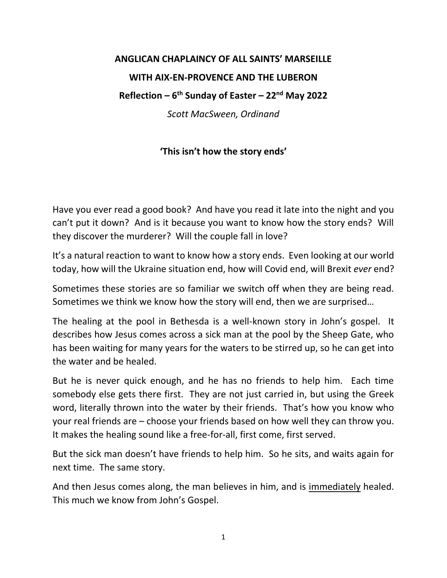## **ANGLICAN CHAPLAINCY OF ALL SAINTS' MARSEILLE WITH AIX-EN-PROVENCE AND THE LUBERON Reflection – 6 th Sunday of Easter – 22nd May 2022** *Scott MacSween, Ordinand*

## **'This isn't how the story ends'**

Have you ever read a good book? And have you read it late into the night and you can't put it down? And is it because you want to know how the story ends? Will they discover the murderer? Will the couple fall in love?

It's a natural reaction to want to know how a story ends. Even looking at our world today, how will the Ukraine situation end, how will Covid end, will Brexit *ever* end?

Sometimes these stories are so familiar we switch off when they are being read. Sometimes we think we know how the story will end, then we are surprised…

The healing at the pool in Bethesda is a well-known story in John's gospel. It describes how Jesus comes across a sick man at the pool by the Sheep Gate, who has been waiting for many years for the waters to be stirred up, so he can get into the water and be healed.

But he is never quick enough, and he has no friends to help him. Each time somebody else gets there first. They are not just carried in, but using the Greek word, literally thrown into the water by their friends. That's how you know who your real friends are – choose your friends based on how well they can throw you. It makes the healing sound like a free-for-all, first come, first served.

But the sick man doesn't have friends to help him. So he sits, and waits again for next time. The same story.

And then Jesus comes along, the man believes in him, and is immediately healed. This much we know from John's Gospel.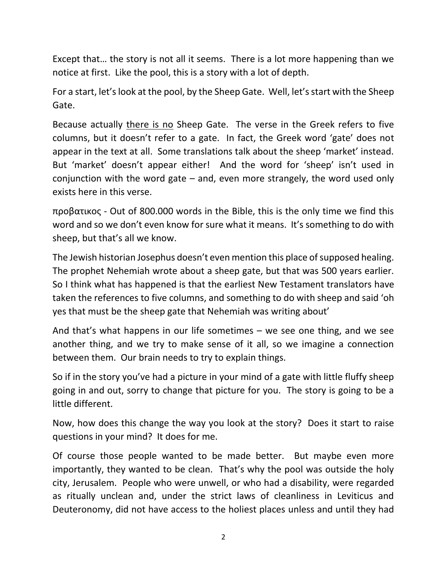Except that… the story is not all it seems. There is a lot more happening than we notice at first. Like the pool, this is a story with a lot of depth.

For a start, let's look at the pool, by the Sheep Gate. Well, let's start with the Sheep Gate.

Because actually there is no Sheep Gate. The verse in the Greek refers to five columns, but it doesn't refer to a gate. In fact, the Greek word 'gate' does not appear in the text at all. Some translations talk about the sheep 'market' instead. But 'market' doesn't appear either! And the word for 'sheep' isn't used in conjunction with the word gate – and, even more strangely, the word used only exists here in this verse.

προβατικος - Out of 800.000 words in the Bible, this is the only time we find this word and so we don't even know for sure what it means. It's something to do with sheep, but that's all we know.

The Jewish historian Josephus doesn't even mention this place of supposed healing. The prophet Nehemiah wrote about a sheep gate, but that was 500 years earlier. So I think what has happened is that the earliest New Testament translators have taken the references to five columns, and something to do with sheep and said 'oh yes that must be the sheep gate that Nehemiah was writing about'

And that's what happens in our life sometimes – we see one thing, and we see another thing, and we try to make sense of it all, so we imagine a connection between them. Our brain needs to try to explain things.

So if in the story you've had a picture in your mind of a gate with little fluffy sheep going in and out, sorry to change that picture for you. The story is going to be a little different.

Now, how does this change the way you look at the story? Does it start to raise questions in your mind? It does for me.

Of course those people wanted to be made better. But maybe even more importantly, they wanted to be clean. That's why the pool was outside the holy city, Jerusalem. People who were unwell, or who had a disability, were regarded as ritually unclean and, under the strict laws of cleanliness in Leviticus and Deuteronomy, did not have access to the holiest places unless and until they had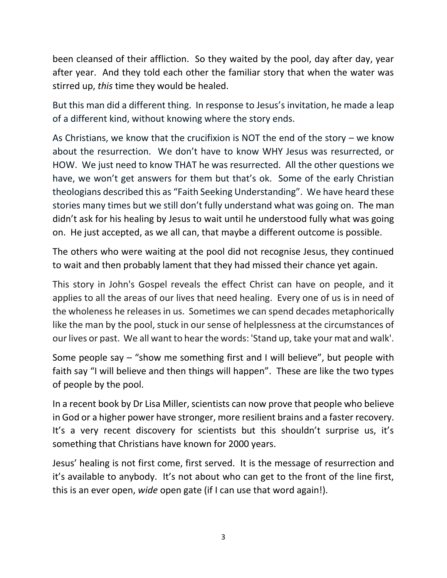been cleansed of their affliction. So they waited by the pool, day after day, year after year. And they told each other the familiar story that when the water was stirred up, *this* time they would be healed.

But this man did a different thing. In response to Jesus's invitation, he made a leap of a different kind, without knowing where the story ends.

As Christians, we know that the crucifixion is NOT the end of the story – we know about the resurrection. We don't have to know WHY Jesus was resurrected, or HOW. We just need to know THAT he was resurrected. All the other questions we have, we won't get answers for them but that's ok. Some of the early Christian theologians described this as "Faith Seeking Understanding". We have heard these stories many times but we still don't fully understand what was going on. The man didn't ask for his healing by Jesus to wait until he understood fully what was going on. He just accepted, as we all can, that maybe a different outcome is possible.

The others who were waiting at the pool did not recognise Jesus, they continued to wait and then probably lament that they had missed their chance yet again.

This story in John's Gospel reveals the effect Christ can have on people, and it applies to all the areas of our lives that need healing. Every one of us is in need of the wholeness he releases in us. Sometimes we can spend decades metaphorically like the man by the pool, stuck in our sense of helplessness at the circumstances of our lives or past. We all want to hear the words: 'Stand up, take your mat and walk'.

Some people say – "show me something first and I will believe", but people with faith say "I will believe and then things will happen". These are like the two types of people by the pool.

In a recent book by Dr Lisa Miller, scientists can now prove that people who believe in God or a higher power have stronger, more resilient brains and a faster recovery. It's a very recent discovery for scientists but this shouldn't surprise us, it's something that Christians have known for 2000 years.

Jesus' healing is not first come, first served. It is the message of resurrection and it's available to anybody. It's not about who can get to the front of the line first, this is an ever open, *wide* open gate (if I can use that word again!).